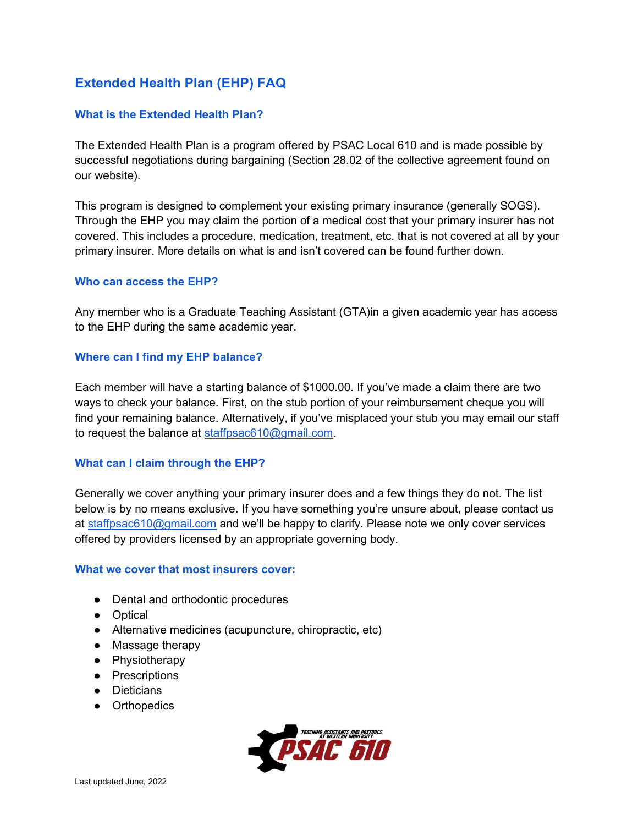# Extended Health Plan (EHP) FAQ

# What is the Extended Health Plan?

The Extended Health Plan is a program offered by PSAC Local 610 and is made possible by successful negotiations during bargaining (Section 28.02 of the collective agreement found on our website).

This program is designed to complement your existing primary insurance (generally SOGS). Through the EHP you may claim the portion of a medical cost that your primary insurer has not covered. This includes a procedure, medication, treatment, etc. that is not covered at all by your primary insurer. More details on what is and isn't covered can be found further down.

#### Who can access the EHP?

Any member who is a Graduate Teaching Assistant (GTA)in a given academic year has access to the EHP during the same academic year.

#### Where can I find my EHP balance?

Each member will have a starting balance of \$1000.00. If you've made a claim there are two ways to check your balance. First, on the stub portion of your reimbursement cheque you will find your remaining balance. Alternatively, if you've misplaced your stub you may email our staff to request the balance at staffpsac610@gmail.com.

# What can I claim through the EHP?

Generally we cover anything your primary insurer does and a few things they do not. The list below is by no means exclusive. If you have something you're unsure about, please contact us at staffpsac610@gmail.com and we'll be happy to clarify. Please note we only cover services offered by providers licensed by an appropriate governing body.

#### What we cover that most insurers cover:

- Dental and orthodontic procedures
- Optical
- Alternative medicines (acupuncture, chiropractic, etc)
- Massage therapy
- Physiotherapy
- Prescriptions
- Dieticians
- **•** Orthopedics

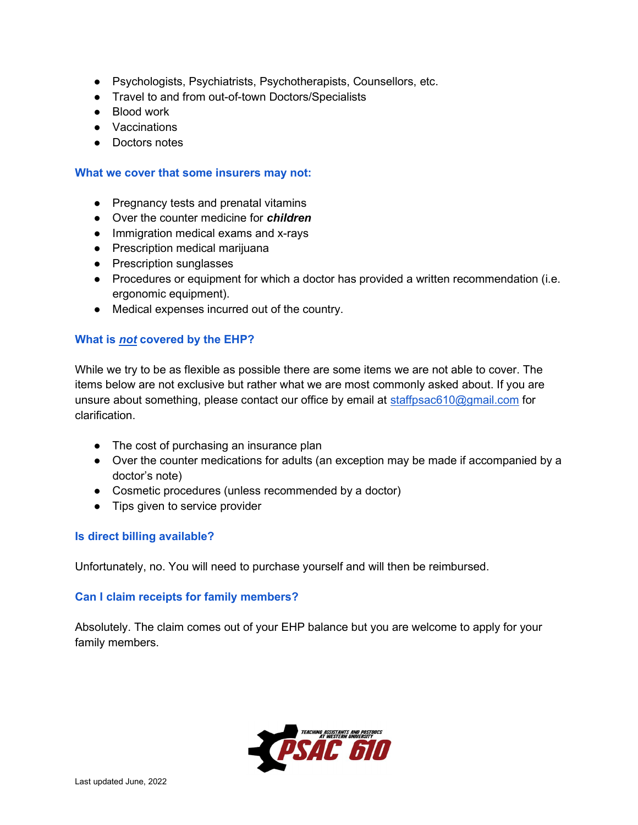- Psychologists, Psychiatrists, Psychotherapists, Counsellors, etc.
- Travel to and from out-of-town Doctors/Specialists
- Blood work
- Vaccinations
- Doctors notes

#### What we cover that some insurers may not:

- Pregnancy tests and prenatal vitamins
- Over the counter medicine for *children*
- Immigration medical exams and x-rays
- Prescription medical marijuana
- Prescription sunglasses
- Procedures or equipment for which a doctor has provided a written recommendation (i.e. ergonomic equipment).
- Medical expenses incurred out of the country.

# What is not covered by the EHP?

While we try to be as flexible as possible there are some items we are not able to cover. The items below are not exclusive but rather what we are most commonly asked about. If you are unsure about something, please contact our office by email at staffpsac610@gmail.com for clarification.

- The cost of purchasing an insurance plan
- Over the counter medications for adults (an exception may be made if accompanied by a doctor's note)
- Cosmetic procedures (unless recommended by a doctor)
- Tips given to service provider

# Is direct billing available?

Unfortunately, no. You will need to purchase yourself and will then be reimbursed.

# Can I claim receipts for family members?

Absolutely. The claim comes out of your EHP balance but you are welcome to apply for your family members.

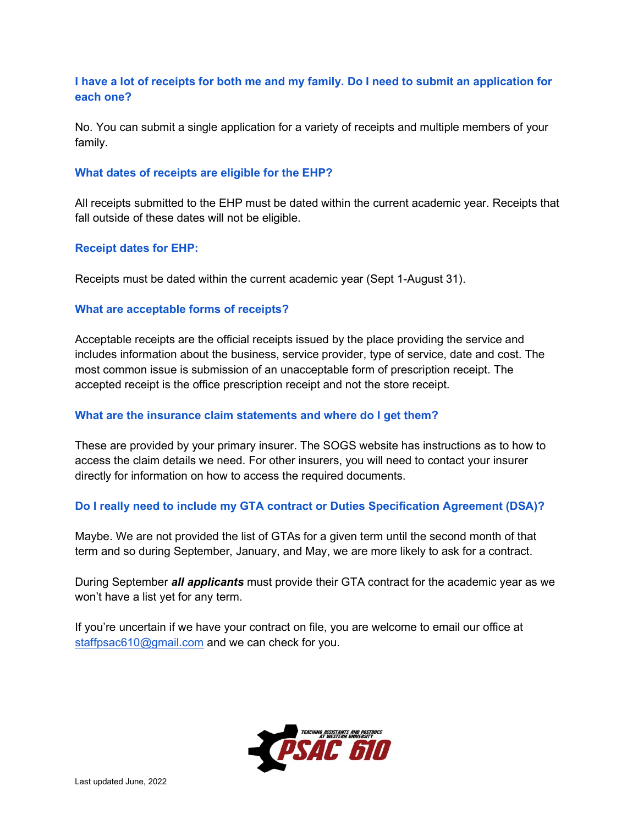# I have a lot of receipts for both me and my family. Do I need to submit an application for each one?

No. You can submit a single application for a variety of receipts and multiple members of your family.

### What dates of receipts are eligible for the EHP?

All receipts submitted to the EHP must be dated within the current academic year. Receipts that fall outside of these dates will not be eligible.

#### Receipt dates for EHP:

Receipts must be dated within the current academic year (Sept 1-August 31).

#### What are acceptable forms of receipts?

Acceptable receipts are the official receipts issued by the place providing the service and includes information about the business, service provider, type of service, date and cost. The most common issue is submission of an unacceptable form of prescription receipt. The accepted receipt is the office prescription receipt and not the store receipt.

#### What are the insurance claim statements and where do I get them?

These are provided by your primary insurer. The SOGS website has instructions as to how to access the claim details we need. For other insurers, you will need to contact your insurer directly for information on how to access the required documents.

# Do I really need to include my GTA contract or Duties Specification Agreement (DSA)?

Maybe. We are not provided the list of GTAs for a given term until the second month of that term and so during September, January, and May, we are more likely to ask for a contract.

During September *all applicants* must provide their GTA contract for the academic year as we won't have a list yet for any term.

If you're uncertain if we have your contract on file, you are welcome to email our office at staffpsac610@gmail.com and we can check for you.

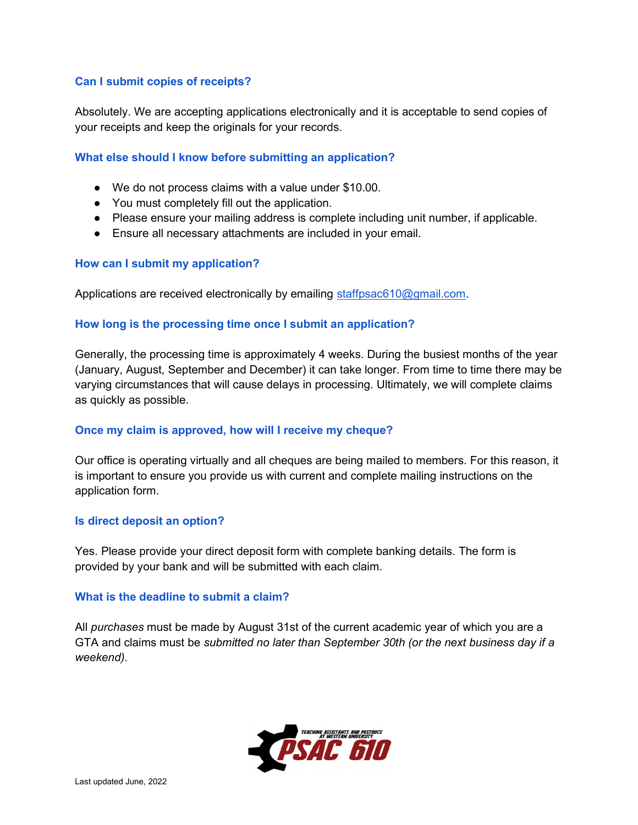# Can I submit copies of receipts?

Absolutely. We are accepting applications electronically and it is acceptable to send copies of your receipts and keep the originals for your records.

# What else should I know before submitting an application?

- We do not process claims with a value under \$10.00.
- You must completely fill out the application.
- Please ensure your mailing address is complete including unit number, if applicable.
- Ensure all necessary attachments are included in your email.

# How can I submit my application?

Applications are received electronically by emailing staffpsac610@gmail.com.

# How long is the processing time once I submit an application?

Generally, the processing time is approximately 4 weeks. During the busiest months of the year (January, August, September and December) it can take longer. From time to time there may be varying circumstances that will cause delays in processing. Ultimately, we will complete claims as quickly as possible.

# Once my claim is approved, how will I receive my cheque?

Our office is operating virtually and all cheques are being mailed to members. For this reason, it is important to ensure you provide us with current and complete mailing instructions on the application form.

# Is direct deposit an option?

Yes. Please provide your direct deposit form with complete banking details. The form is provided by your bank and will be submitted with each claim.

# What is the deadline to submit a claim?

All purchases must be made by August 31st of the current academic year of which you are a GTA and claims must be submitted no later than September 30th (or the next business day if a weekend).